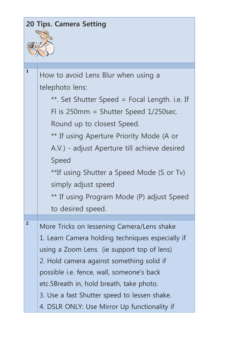|                | <b>20 Tips. Camera Setting</b>                   |  |
|----------------|--------------------------------------------------|--|
|                |                                                  |  |
|                |                                                  |  |
|                |                                                  |  |
| $\mathbf{1}$   | How to avoid Lens Blur when using a              |  |
|                | telephoto lens:                                  |  |
|                | **. Set Shutter Speed = Focal Length. i.e. If    |  |
|                | Fl is $250$ mm = Shutter Speed $1/250$ sec.      |  |
|                | Round up to closest Speed.                       |  |
|                | ** If using Aperture Priority Mode (A or         |  |
|                |                                                  |  |
|                | A.V.) - adjust Aperture till achieve desired     |  |
|                | Speed                                            |  |
|                | **If using Shutter a Speed Mode (S or Tv)        |  |
|                | simply adjust speed                              |  |
|                | ** If using Program Mode (P) adjust Speed        |  |
|                | to desired speed.                                |  |
| $\overline{2}$ | More Tricks on lessening Camera/Lens shake       |  |
|                | 1. Learn Camera holding techniques especially if |  |
|                | using a Zoom Lens (ie support top of lens)       |  |
|                | 2. Hold camera against something solid if        |  |
|                | possible i.e. fence, wall, someone's back        |  |
|                | etc.5Breath in, hold breath, take photo.         |  |
|                | 3. Use a fast Shutter speed to lessen shake.     |  |
|                |                                                  |  |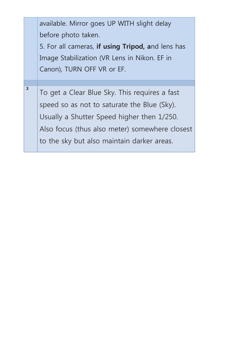|   | available. Mirror goes UP WITH slight delay<br>before photo taken.<br>5. For all cameras, if using Tripod, and lens has<br>Image Stabilization (VR Lens in Nikon. EF in                                                                    |
|---|--------------------------------------------------------------------------------------------------------------------------------------------------------------------------------------------------------------------------------------------|
|   | Canon), TURN OFF VR or EF.                                                                                                                                                                                                                 |
| 3 | To get a Clear Blue Sky. This requires a fast<br>speed so as not to saturate the Blue (Sky).<br>Usually a Shutter Speed higher then 1/250.<br>Also focus (thus also meter) somewhere closest<br>to the sky but also maintain darker areas. |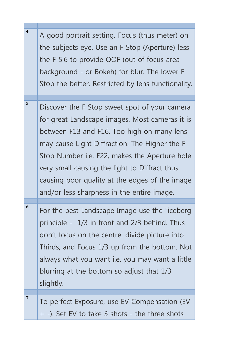| $\overline{\mathbf{4}}$ |                                                        |
|-------------------------|--------------------------------------------------------|
|                         | A good portrait setting. Focus (thus meter) on         |
|                         | the subjects eye. Use an F Stop (Aperture) less        |
|                         |                                                        |
|                         | the F 5.6 to provide OOF (out of focus area            |
|                         | background - or Bokeh) for blur. The lower F           |
|                         | Stop the better. Restricted by lens functionality.     |
|                         |                                                        |
| 5                       | Discover the F Stop sweet spot of your camera          |
|                         | for great Landscape images. Most cameras it is         |
|                         |                                                        |
|                         | between F13 and F16. Too high on many lens             |
|                         | may cause Light Diffraction. The Higher the F          |
|                         | Stop Number i.e. F22, makes the Aperture hole          |
|                         |                                                        |
|                         | very small causing the light to Diffract thus          |
|                         | causing poor quality at the edges of the image         |
|                         | and/or less sharpness in the entire image.             |
|                         |                                                        |
| 6                       | For the best Landscape Image use the "iceberg          |
|                         |                                                        |
|                         | principle $-1/3$ in front and $2/3$ behind. Thus       |
|                         | don't focus on the centre: divide picture into         |
|                         | Thirds, and Focus 1/3 up from the bottom. Not          |
|                         |                                                        |
|                         | always what you want <i>i.e.</i> you may want a little |
|                         | blurring at the bottom so adjust that 1/3              |
|                         | slightly.                                              |
|                         |                                                        |
| $\overline{7}$          | To perfect Exposure, use EV Compensation (EV           |
|                         |                                                        |
|                         | + -). Set EV to take 3 shots - the three shots         |

**The Company**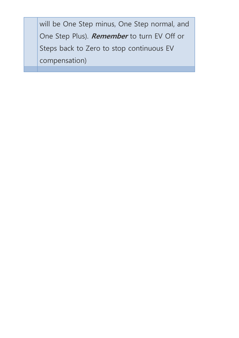will be One Step minus, One Step normal, and One Step Plus). **Remember** to turn EV Off or Steps back to Zero to stop continuous EV compensation)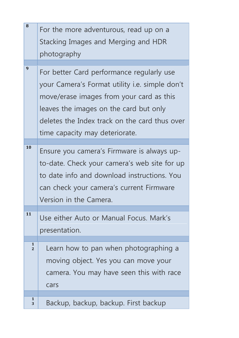| 8                              | For the more adventurous, read up on a<br>Stacking Images and Merging and HDR                                                                                                                                                                                        |
|--------------------------------|----------------------------------------------------------------------------------------------------------------------------------------------------------------------------------------------------------------------------------------------------------------------|
|                                | photography                                                                                                                                                                                                                                                          |
| 9                              | For better Card performance regularly use<br>your Camera's Format utility i.e. simple don't<br>move/erase images from your card as this<br>leaves the images on the card but only<br>deletes the Index track on the card thus over<br>time capacity may deteriorate. |
| 10                             | Ensure you camera's Firmware is always up-<br>to-date. Check your camera's web site for up<br>to date info and download instructions. You<br>can check your camera's current Firmware<br>Version in the Camera.                                                      |
| 11                             | Use either Auto or Manual Focus. Mark's<br>presentation.                                                                                                                                                                                                             |
| $\mathbf{1}$<br>$\overline{2}$ | Learn how to pan when photographing a<br>moving object. Yes you can move your<br>camera. You may have seen this with race<br>cars                                                                                                                                    |
| 1<br>3                         | Backup, backup, backup. First backup                                                                                                                                                                                                                                 |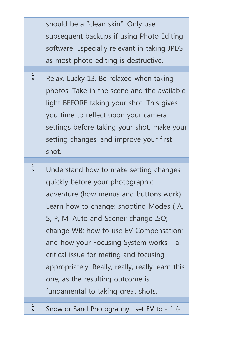|                   | should be a "clean skin". Only use<br>subsequent backups if using Photo Editing<br>software. Especially relevant in taking JPEG<br>as most photo editing is destructive.                                                                                                                                                                                                                                                                                              |
|-------------------|-----------------------------------------------------------------------------------------------------------------------------------------------------------------------------------------------------------------------------------------------------------------------------------------------------------------------------------------------------------------------------------------------------------------------------------------------------------------------|
| $\mathbf{1}$      | Relax. Lucky 13. Be relaxed when taking<br>photos. Take in the scene and the available<br>light BEFORE taking your shot. This gives<br>you time to reflect upon your camera<br>settings before taking your shot, make your<br>setting changes, and improve your first<br>shot.                                                                                                                                                                                        |
| $\mathbf{1}$<br>5 | Understand how to make setting changes<br>quickly before your photographic<br>adventure (how menus and buttons work).<br>Learn how to change: shooting Modes (A,<br>S, P, M, Auto and Scene); change ISO;<br>change WB; how to use EV Compensation;<br>and how your Focusing System works - a<br>critical issue for meting and focusing<br>appropriately. Really, really, really learn this<br>one, as the resulting outcome is<br>fundamental to taking great shots. |
| 1<br>6            | Snow or Sand Photography. set EV to - 1 (-                                                                                                                                                                                                                                                                                                                                                                                                                            |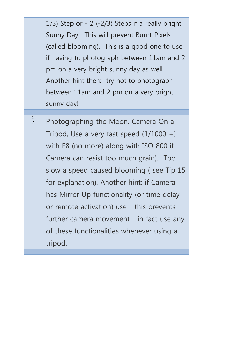|                                | $1/3$ ) Step or - 2 (-2/3) Steps if a really bright<br>Sunny Day. This will prevent Burnt Pixels<br>(called blooming). This is a good one to use<br>if having to photograph between 11am and 2<br>pm on a very bright sunny day as well.<br>Another hint then: try not to photograph<br>between 11am and 2 pm on a very bright                                                                                                                                  |
|--------------------------------|-----------------------------------------------------------------------------------------------------------------------------------------------------------------------------------------------------------------------------------------------------------------------------------------------------------------------------------------------------------------------------------------------------------------------------------------------------------------|
|                                | sunny day!                                                                                                                                                                                                                                                                                                                                                                                                                                                      |
| $\mathbf{1}$<br>$\overline{7}$ | Photographing the Moon. Camera On a<br>Tripod, Use a very fast speed $(1/1000 +)$<br>with F8 (no more) along with ISO 800 if<br>Camera can resist too much grain). Too<br>slow a speed caused blooming (see Tip 15<br>for explanation). Another hint: if Camera<br>has Mirror Up functionality (or time delay<br>or remote activation) use - this prevents<br>further camera movement - in fact use any<br>of these functionalities whenever using a<br>tripod. |